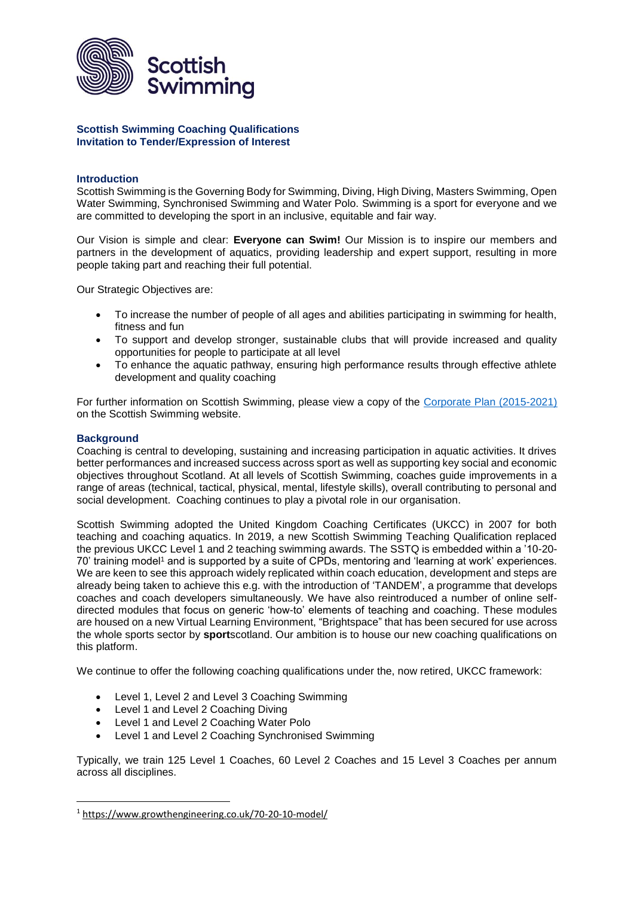

### **Scottish Swimming Coaching Qualifications Invitation to Tender/Expression of Interest**

## **Introduction**

Scottish Swimming is the Governing Body for Swimming, Diving, High Diving, Masters Swimming, Open Water Swimming, Synchronised Swimming and Water Polo. Swimming is a sport for everyone and we are committed to developing the sport in an inclusive, equitable and fair way.

Our Vision is simple and clear: **Everyone can Swim!** Our Mission is to inspire our members and partners in the development of aquatics, providing leadership and expert support, resulting in more people taking part and reaching their full potential.

Our Strategic Objectives are:

- To increase the number of people of all ages and abilities participating in swimming for health, fitness and fun
- To support and develop stronger, sustainable clubs that will provide increased and quality opportunities for people to participate at all level
- To enhance the aquatic pathway, ensuring high performance results through effective athlete development and quality coaching

For further information on Scottish Swimming, please view a copy of the [Corporate Plan \(2015-2021\)](http://www.scottishswimming.com/media/1410135/CorporatePlan2015_2021Web.pdf) on the Scottish Swimming website.

## **Background**

**.** 

Coaching is central to developing, sustaining and increasing participation in aquatic activities. It drives better performances and increased success across sport as well as supporting key social and economic objectives throughout Scotland. At all levels of Scottish Swimming, coaches guide improvements in a range of areas (technical, tactical, physical, mental, lifestyle skills), overall contributing to personal and social development. Coaching continues to play a pivotal role in our organisation.

Scottish Swimming adopted the United Kingdom Coaching Certificates (UKCC) in 2007 for both teaching and coaching aquatics. In 2019, a new Scottish Swimming Teaching Qualification replaced the previous UKCC Level 1 and 2 teaching swimming awards. The SSTQ is embedded within a '10-20- 70' training model<sup>1</sup> and is supported by a suite of CPDs, mentoring and 'learning at work' experiences. We are keen to see this approach widely replicated within coach education, development and steps are already being taken to achieve this e.g. with the introduction of 'TANDEM', a programme that develops coaches and coach developers simultaneously. We have also reintroduced a number of online selfdirected modules that focus on generic 'how-to' elements of teaching and coaching. These modules are housed on a new Virtual Learning Environment, "Brightspace" that has been secured for use across the whole sports sector by **sport**scotland. Our ambition is to house our new coaching qualifications on this platform.

We continue to offer the following coaching qualifications under the, now retired, UKCC framework:

- Level 1, Level 2 and Level 3 Coaching Swimming
- Level 1 and Level 2 Coaching Diving
- Level 1 and Level 2 Coaching Water Polo
- Level 1 and Level 2 Coaching Synchronised Swimming

Typically, we train 125 Level 1 Coaches, 60 Level 2 Coaches and 15 Level 3 Coaches per annum across all disciplines.

<sup>1</sup> <https://www.growthengineering.co.uk/70-20-10-model/>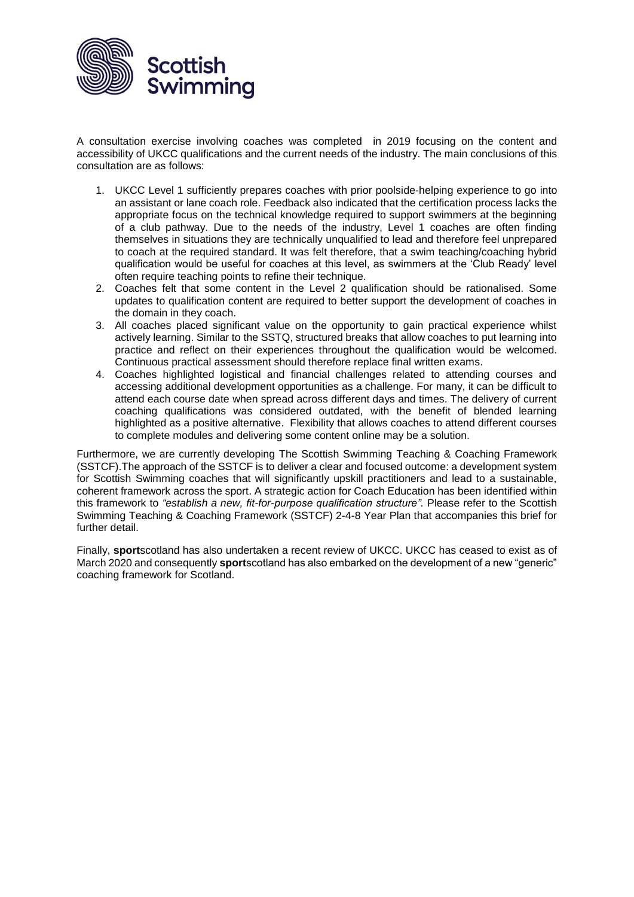

A consultation exercise involving coaches was completed in 2019 focusing on the content and accessibility of UKCC qualifications and the current needs of the industry. The main conclusions of this consultation are as follows:

- 1. UKCC Level 1 sufficiently prepares coaches with prior poolside-helping experience to go into an assistant or lane coach role. Feedback also indicated that the certification process lacks the appropriate focus on the technical knowledge required to support swimmers at the beginning of a club pathway. Due to the needs of the industry, Level 1 coaches are often finding themselves in situations they are technically unqualified to lead and therefore feel unprepared to coach at the required standard. It was felt therefore, that a swim teaching/coaching hybrid qualification would be useful for coaches at this level, as swimmers at the 'Club Ready' level often require teaching points to refine their technique.
- 2. Coaches felt that some content in the Level 2 qualification should be rationalised. Some updates to qualification content are required to better support the development of coaches in the domain in they coach.
- 3. All coaches placed significant value on the opportunity to gain practical experience whilst actively learning. Similar to the SSTQ, structured breaks that allow coaches to put learning into practice and reflect on their experiences throughout the qualification would be welcomed. Continuous practical assessment should therefore replace final written exams.
- 4. Coaches highlighted logistical and financial challenges related to attending courses and accessing additional development opportunities as a challenge. For many, it can be difficult to attend each course date when spread across different days and times. The delivery of current coaching qualifications was considered outdated, with the benefit of blended learning highlighted as a positive alternative. Flexibility that allows coaches to attend different courses to complete modules and delivering some content online may be a solution.

Furthermore, we are currently developing The Scottish Swimming Teaching & Coaching Framework (SSTCF).The approach of the SSTCF is to deliver a clear and focused outcome: a development system for Scottish Swimming coaches that will significantly upskill practitioners and lead to a sustainable, coherent framework across the sport. A strategic action for Coach Education has been identified within this framework to *"establish a new, fit-for-purpose qualification structure".* Please refer to the Scottish Swimming Teaching & Coaching Framework (SSTCF) 2-4-8 Year Plan that accompanies this brief for further detail.

Finally, **sport**scotland has also undertaken a recent review of UKCC. UKCC has ceased to exist as of March 2020 and consequently **sport**scotland has also embarked on the development of a new "generic" coaching framework for Scotland.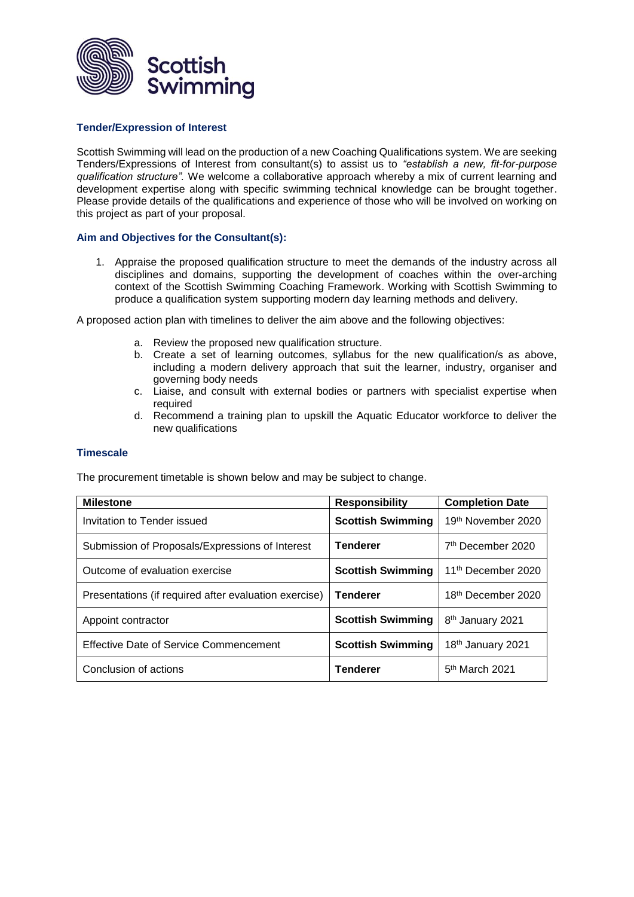

### **Tender/Expression of Interest**

Scottish Swimming will lead on the production of a new Coaching Qualifications system. We are seeking Tenders/Expressions of Interest from consultant(s) to assist us to *"establish a new, fit-for-purpose qualification structure".* We welcome a collaborative approach whereby a mix of current learning and development expertise along with specific swimming technical knowledge can be brought together. Please provide details of the qualifications and experience of those who will be involved on working on this project as part of your proposal.

## **Aim and Objectives for the Consultant(s):**

1. Appraise the proposed qualification structure to meet the demands of the industry across all disciplines and domains, supporting the development of coaches within the over-arching context of the Scottish Swimming Coaching Framework. Working with Scottish Swimming to produce a qualification system supporting modern day learning methods and delivery.

A proposed action plan with timelines to deliver the aim above and the following objectives:

- a. Review the proposed new qualification structure.
- b. Create a set of learning outcomes, syllabus for the new qualification/s as above, including a modern delivery approach that suit the learner, industry, organiser and governing body needs
- c. Liaise, and consult with external bodies or partners with specialist expertise when required
- d. Recommend a training plan to upskill the Aquatic Educator workforce to deliver the new qualifications

### **Timescale**

The procurement timetable is shown below and may be subject to change.

| <b>Milestone</b>                                      | <b>Responsibility</b>    | <b>Completion Date</b>         |
|-------------------------------------------------------|--------------------------|--------------------------------|
| Invitation to Tender issued                           | <b>Scottish Swimming</b> | 19th November 2020             |
| Submission of Proposals/Expressions of Interest       | <b>Tenderer</b>          | 7 <sup>th</sup> December 2020  |
| Outcome of evaluation exercise                        | <b>Scottish Swimming</b> | 11 <sup>th</sup> December 2020 |
| Presentations (if required after evaluation exercise) | <b>Tenderer</b>          | 18 <sup>th</sup> December 2020 |
| Appoint contractor                                    | <b>Scottish Swimming</b> | 8 <sup>th</sup> January 2021   |
| <b>Effective Date of Service Commencement</b>         | <b>Scottish Swimming</b> | 18th January 2021              |
| Conclusion of actions                                 | <b>Tenderer</b>          | $5th$ March 2021               |